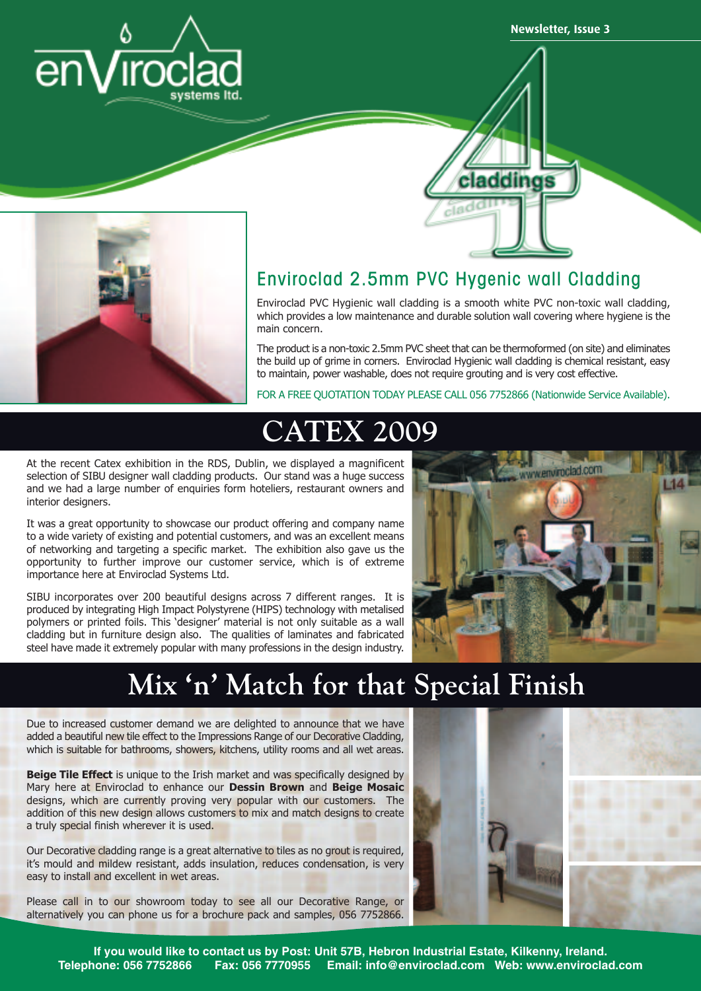

**Newsletter, Issue 3**





#### Enviroclad 2.5mm PVC Hygenic wall Cladding

Enviroclad PVC Hygienic wall cladding is a smooth white PVC non-toxic wall cladding, which provides a low maintenance and durable solution wall covering where hygiene is the main concern.

The product is a non-toxic 2.5mm PVC sheet that can be thermoformed (on site) and eliminates the build up of grime in corners. Enviroclad Hygienic wall cladding is chemical resistant, easy to maintain, power washable, does not require grouting and is very cost effective.

FOR A FREE QUOTATION TODAY PLEASE CALL 056 7752866 (Nationwide Service Available).

### **CATEX 2009**

At the recent Catex exhibition in the RDS, Dublin, we displayed a magnificent selection of SIBU designer wall cladding products. Our stand was a huge success and we had a large number of enquiries form hoteliers, restaurant owners and interior designers.

It was a great opportunity to showcase our product offering and company name to a wide variety of existing and potential customers, and was an excellent means of networking and targeting a specific market. The exhibition also gave us the opportunity to further improve our customer service, which is of extreme importance here at Enviroclad Systems Ltd.

SIBU incorporates over 200 beautiful designs across 7 different ranges. It is produced by integrating High Impact Polystyrene (HIPS) technology with metalised polymers or printed foils. This 'designer' material is not only suitable as a wall cladding but in furniture design also. The qualities of laminates and fabricated steel have made it extremely popular with many professions in the design industry.



#### **Mix 'n' Match for that Special Finish**

Due to increased customer demand we are delighted to announce that we have added a beautiful new tile effect to the Impressions Range of our Decorative Cladding, which is suitable for bathrooms, showers, kitchens, utility rooms and all wet areas.

**Beige Tile Effect** is unique to the Irish market and was specifically designed by Mary here at Enviroclad to enhance our **Dessin Brown** and **Beige Mosaic** designs, which are currently proving very popular with our customers. The addition of this new design allows customers to mix and match designs to create a truly special finish wherever it is used.

Our Decorative cladding range is a great alternative to tiles as no grout is required, it's mould and mildew resistant, adds insulation, reduces condensation, is very easy to install and excellent in wet areas.

Please call in to our showroom today to see all our Decorative Range, or alternatively you can phone us for a brochure pack and samples, 056 7752866.



**If you would like to contact us by Post: Unit 57B, Hebron Industrial Estate, Kilkenny, Ireland. Telephone: 056 7752866 Fax: 056 7770955 Email: info@enviroclad.com Web: www.enviroclad.com**